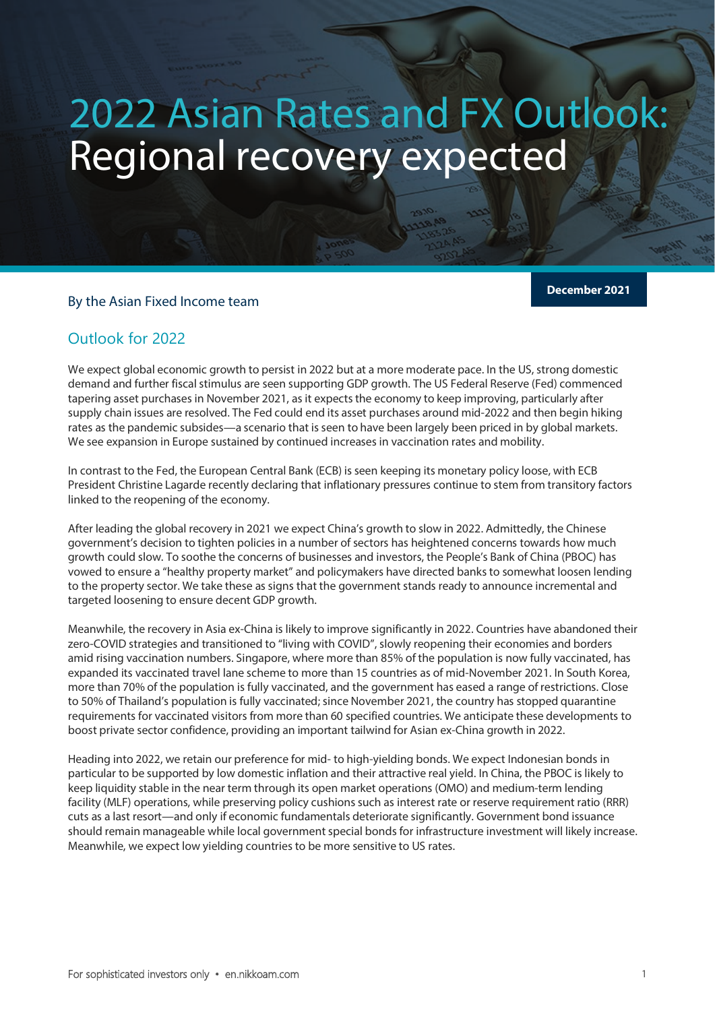# 2022 Asian Rates and FX Outlook: Regional recovery expected

## By the Asian Fixed Income team

**2022 Asian Rates Asian Rates Asian Rates Asian Rates Asian Rates Asian Rates Asian Rates Asian Rates Asian Rates Asian Rates Asian Rates Asian Rates Asian Rates Asian Rates Asian Rates Asian Rates Asian Rates Asian Rates** 

**December 2021**

# Outlook for 2022

We expect global economic growth to persist in 2022 but at a more moderate pace. In the US, strong domestic demand and further fiscal stimulus are seen supporting GDP growth. The US Federal Reserve (Fed) commenced tapering asset purchases in November 2021, as it expects the economy to keep improving, particularly after supply chain issues are resolved. The Fed could end its asset purchases around mid-2022 and then begin hiking rates as the pandemic subsides—a scenario that is seen to have been largely been priced in by global markets. We see expansion in Europe sustained by continued increases in vaccination rates and mobility.

In contrast to the Fed, the European Central Bank (ECB) is seen keeping its monetary policy loose, with ECB President Christine Lagarde recently declaring that inflationary pressures continue to stem from transitory factors linked to the reopening of the economy.

After leading the global recovery in 2021 we expect China's growth to slow in 2022. Admittedly, the Chinese government's decision to tighten policies in a number of sectors has heightened concerns towards how much growth could slow. To soothe the concerns of businesses and investors, the People's Bank of China (PBOC) has vowed to ensure a "healthy property market" and policymakers have directed banks to somewhat loosen lending to the property sector. We take these as signs that the government stands ready to announce incremental and targeted loosening to ensure decent GDP growth.

Meanwhile, the recovery in Asia ex-China is likely to improve significantly in 2022. Countries have abandoned their zero-COVID strategies and transitioned to "living with COVID", slowly reopening their economies and borders amid rising vaccination numbers. Singapore, where more than 85% of the population is now fully vaccinated, has expanded its vaccinated travel lane scheme to more than 15 countries as of mid-November 2021. In South Korea, more than 70% of the population is fully vaccinated, and the government has eased a range of restrictions. Close to 50% of Thailand's population is fully vaccinated; since November 2021, the country has stopped quarantine requirements for vaccinated visitors from more than 60 specified countries. We anticipate these developments to boost private sector confidence, providing an important tailwind for Asian ex-China growth in 2022.

Heading into 2022, we retain our preference for mid- to high-yielding bonds. We expect Indonesian bonds in particular to be supported by low domestic inflation and their attractive real yield. In China, the PBOC is likely to keep liquidity stable in the near term through its open market operations (OMO) and medium-term lending facility (MLF) operations, while preserving policy cushions such as interest rate or reserve requirement ratio (RRR) cuts as a last resort—and only if economic fundamentals deteriorate significantly. Government bond issuance should remain manageable while local government special bonds for infrastructure investment will likely increase. Meanwhile, we expect low yielding countries to be more sensitive to US rates.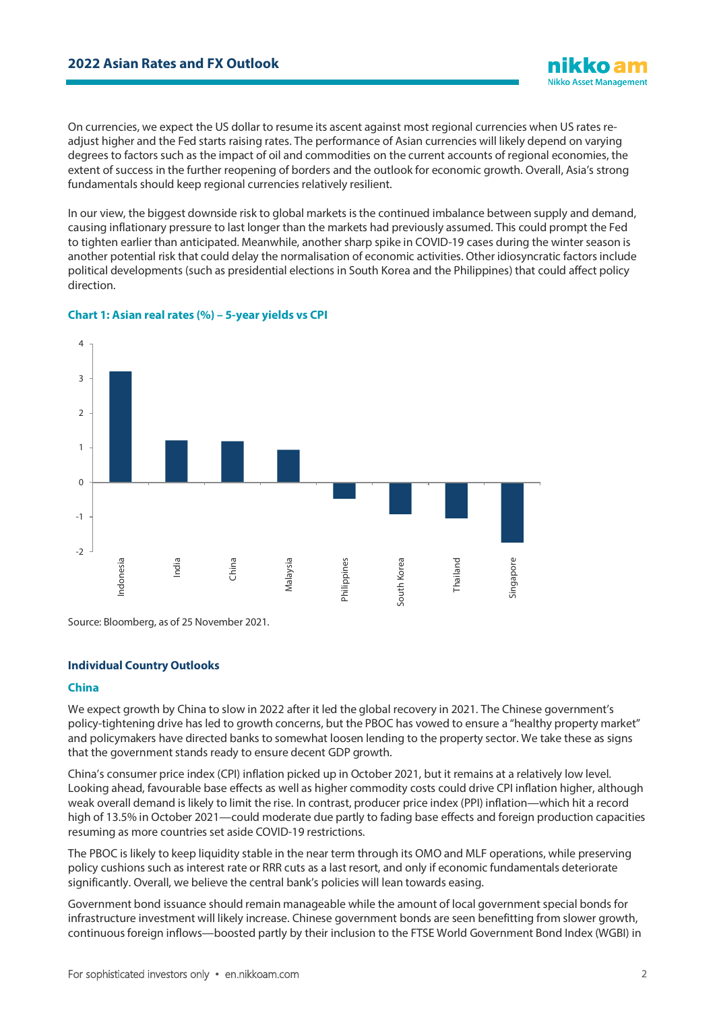On currencies, we expect the US dollar to resume its ascent against most regional currencies when US rates readjust higher and the Fed starts raising rates. The performance of Asian currencies will likely depend on varying degrees to factors such as the impact of oil and commodities on the current accounts of regional economies, the extent of success in the further reopening of borders and the outlook for economic growth. Overall, Asia's strong fundamentals should keep regional currencies relatively resilient.

In our view, the biggest downside risk to global markets is the continued imbalance between supply and demand, causing inflationary pressure to last longer than the markets had previously assumed. This could prompt the Fed to tighten earlier than anticipated. Meanwhile, another sharp spike in COVID-19 cases during the winter season is another potential risk that could delay the normalisation of economic activities. Other idiosyncratic factors include political developments (such as presidential elections in South Korea and the Philippines) that could affect policy direction.



#### **Chart 1: Asian real rates (%) – 5-year yields vs CPI**

Source: Bloomberg, as of 25 November 2021.

#### **Individual Country Outlooks**

#### **China**

We expect growth by China to slow in 2022 after it led the global recovery in 2021. The Chinese government's policy-tightening drive has led to growth concerns, but the PBOC has vowed to ensure a "healthy property market" and policymakers have directed banks to somewhat loosen lending to the property sector. We take these as signs that the government stands ready to ensure decent GDP growth.

China's consumer price index (CPI) inflation picked up in October 2021, but it remains at a relatively low level. Looking ahead, favourable base effects as well as higher commodity costs could drive CPI inflation higher, although weak overall demand is likely to limit the rise. In contrast, producer price index (PPI) inflation—which hit a record high of 13.5% in October 2021—could moderate due partly to fading base effects and foreign production capacities resuming as more countries set aside COVID-19 restrictions.

The PBOC is likely to keep liquidity stable in the near term through its OMO and MLF operations, while preserving policy cushions such as interest rate or RRR cuts as a last resort, and only if economic fundamentals deteriorate significantly. Overall, we believe the central bank's policies will lean towards easing.

Government bond issuance should remain manageable while the amount of local government special bonds for infrastructure investment will likely increase. Chinese government bonds are seen benefitting from slower growth, continuous foreign inflows—boosted partly by their inclusion to the FTSE World Government Bond Index (WGBI) in

**Nikko Asset Management**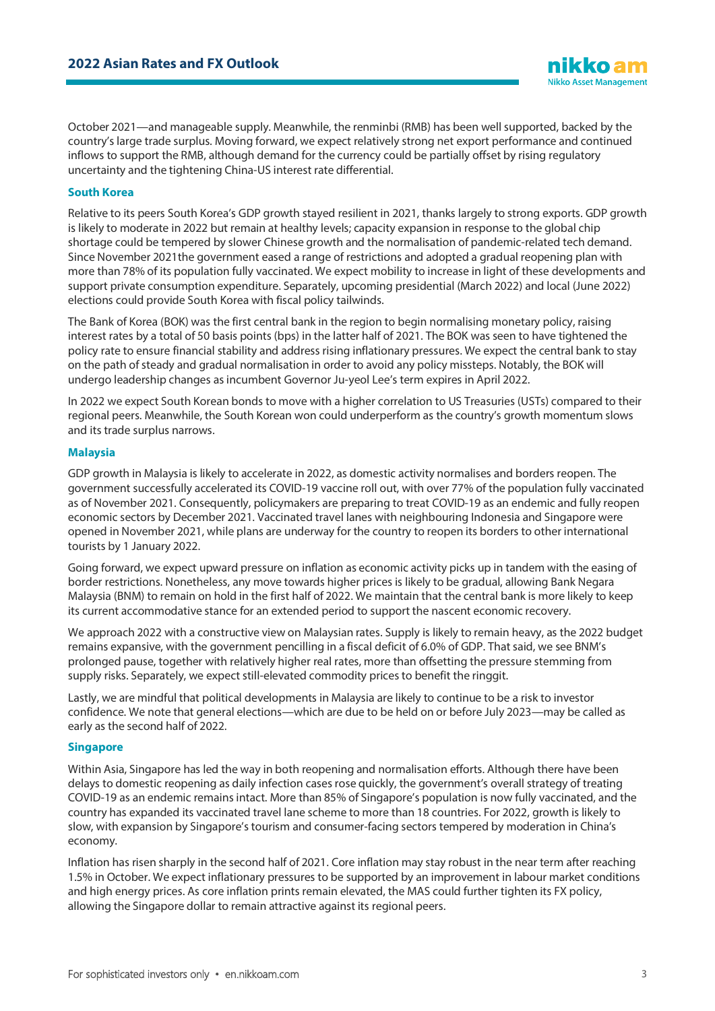October 2021—and manageable supply. Meanwhile, the renminbi (RMB) has been wellsupported, backed by the country's large trade surplus. Moving forward, we expect relatively strong net export performance and continued inflows to support the RMB, although demand for the currency could be partially offset by rising regulatory uncertainty and the tightening China-US interest rate differential.

#### **South Korea**

Relative to its peers South Korea's GDP growth stayed resilient in 2021, thanks largely to strong exports. GDP growth is likely to moderate in 2022 but remain at healthy levels; capacity expansion in response to the global chip shortage could be tempered by slower Chinese growth and the normalisation of pandemic-related tech demand. Since November 2021the government eased a range of restrictions and adopted a gradual reopening plan with more than 78% of its population fully vaccinated. We expect mobility to increase in light of these developments and support private consumption expenditure. Separately, upcoming presidential (March 2022) and local (June 2022) elections could provide South Korea with fiscal policy tailwinds.

The Bank of Korea (BOK) was the first central bank in the region to begin normalising monetary policy, raising interest rates by a total of 50 basis points (bps) in the latter half of 2021. The BOK was seen to have tightened the policy rate to ensure financial stability and address rising inflationary pressures. We expect the central bank to stay on the path of steady and gradual normalisation in order to avoid any policy missteps. Notably, the BOK will undergo leadership changes as incumbent Governor Ju-yeol Lee's term expires in April 2022.

In 2022 we expect South Korean bonds to move with a higher correlation to US Treasuries (USTs) compared to their regional peers. Meanwhile, the South Korean won could underperform as the country's growth momentum slows and its trade surplus narrows.

#### **Malaysia**

GDP growth in Malaysia is likely to accelerate in 2022, as domestic activity normalises and borders reopen. The government successfully accelerated its COVID-19 vaccine roll out, with over 77% of the population fully vaccinated as of November 2021. Consequently, policymakers are preparing to treat COVID-19 as an endemic and fully reopen economic sectors by December 2021. Vaccinated travel lanes with neighbouring Indonesia and Singapore were opened in November 2021, while plans are underway for the country to reopen its borders to other international tourists by 1 January 2022.

Going forward, we expect upward pressure on inflation as economic activity picks up in tandem with the easing of border restrictions. Nonetheless, any move towards higher prices is likely to be gradual, allowing Bank Negara Malaysia (BNM) to remain on hold in the first half of 2022. We maintain that the central bank is more likely to keep its current accommodative stance for an extended period to support the nascent economic recovery.

We approach 2022 with a constructive view on Malaysian rates. Supply is likely to remain heavy, as the 2022 budget remains expansive, with the government pencilling in a fiscal deficit of 6.0% of GDP. That said, we see BNM's prolonged pause, together with relatively higher real rates, more than offsetting the pressure stemming from supply risks. Separately, we expect still-elevated commodity prices to benefit the ringgit.

Lastly, we are mindful that political developments in Malaysia are likely to continue to be a risk to investor confidence. We note that general elections—which are due to be held on or before July 2023—may be called as early as the second half of 2022.

#### **Singapore**

Within Asia, Singapore has led the way in both reopening and normalisation efforts. Although there have been delays to domestic reopening as daily infection cases rose quickly, the government's overall strategy of treating COVID-19 as an endemic remains intact. More than 85% of Singapore's population is now fully vaccinated, and the country has expanded its vaccinated travel lane scheme to more than 18 countries. For 2022, growth is likely to slow, with expansion by Singapore's tourism and consumer-facing sectors tempered by moderation in China's economy.

Inflation has risen sharply in the second half of 2021. Core inflation may stay robust in the near term after reaching 1.5% in October. We expect inflationary pressures to be supported by an improvement in labour market conditions and high energy prices. As core inflation prints remain elevated, the MAS could further tighten its FX policy, allowing the Singapore dollar to remain attractive against its regional peers.

iikko al **Nikko Asset Management**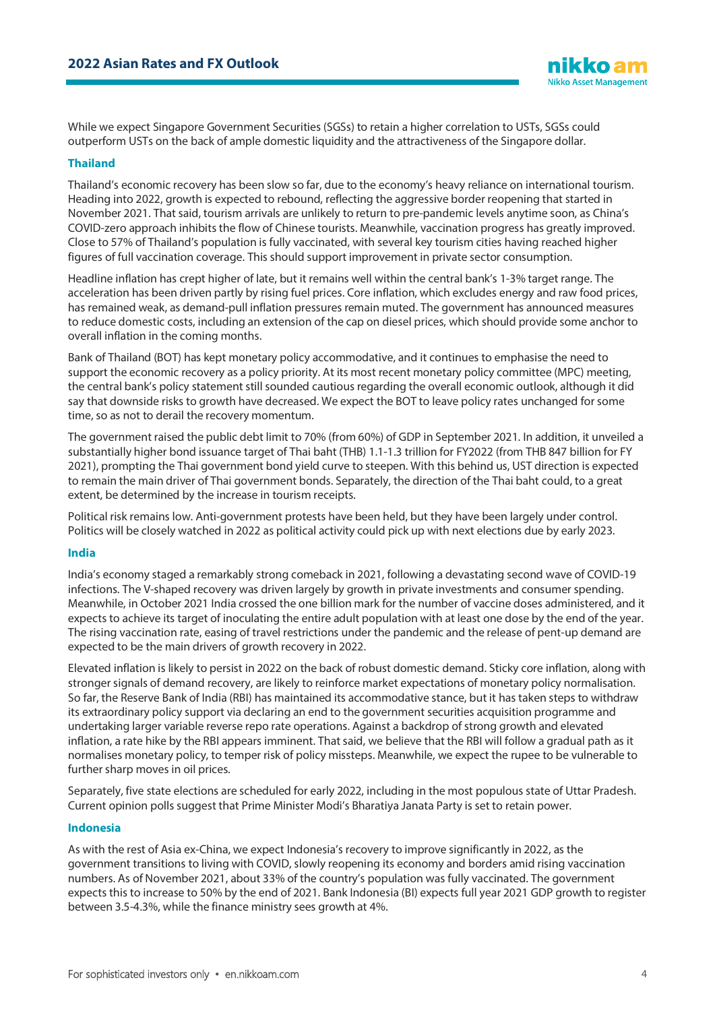While we expect Singapore Government Securities (SGSs) to retain a higher correlation to USTs, SGSs could outperform USTs on the back of ample domestic liquidity and the attractiveness of the Singapore dollar.

### **Thailand**

Thailand's economic recovery has been slow so far, due to the economy's heavy reliance on international tourism. Heading into 2022, growth is expected to rebound, reflecting the aggressive border reopening that started in November 2021. That said, tourism arrivals are unlikely to return to pre-pandemic levels anytime soon, as China's COVID-zero approach inhibits the flow of Chinese tourists. Meanwhile, vaccination progress has greatly improved. Close to 57% of Thailand's population is fully vaccinated, with several key tourism cities having reached higher figures of full vaccination coverage. This should support improvement in private sector consumption.

Headline inflation has crept higher of late, but it remains well within the central bank's 1-3% target range. The acceleration has been driven partly by rising fuel prices. Core inflation, which excludes energy and raw food prices, has remained weak, as demand-pull inflation pressures remain muted. The government has announced measures to reduce domestic costs, including an extension of the cap on diesel prices, which should provide some anchor to overall inflation in the coming months.

Bank of Thailand (BOT) has kept monetary policy accommodative, and it continues to emphasise the need to support the economic recovery as a policy priority. At its most recent monetary policy committee (MPC) meeting, the central bank's policy statement still sounded cautious regarding the overall economic outlook, although it did say that downside risks to growth have decreased. We expect the BOT to leave policy rates unchanged for some time, so as not to derail the recovery momentum.

The government raised the public debt limit to 70% (from 60%) of GDP in September 2021. In addition, it unveiled a substantially higher bond issuance target of Thai baht (THB) 1.1-1.3 trillion for FY2022 (from THB 847 billion for FY 2021), prompting the Thai government bond yield curve to steepen. With this behind us, UST direction is expected to remain the main driver of Thai government bonds. Separately, the direction of the Thai baht could, to a great extent, be determined by the increase in tourism receipts.

Political risk remains low. Anti-government protests have been held, but they have been largely under control. Politics will be closely watched in 2022 as political activity could pick up with next elections due by early 2023.

#### **India**

India's economy staged a remarkably strong comeback in 2021, following a devastating second wave of COVID-19 infections. The V-shaped recovery was driven largely by growth in private investments and consumer spending. Meanwhile, in October 2021 India crossed the one billion mark for the number of vaccine doses administered, and it expects to achieve its target of inoculating the entire adult population with at least one dose by the end of the year. The rising vaccination rate, easing of travel restrictions under the pandemic and the release of pent-up demand are expected to be the main drivers of growth recovery in 2022.

Elevated inflation is likely to persist in 2022 on the back of robust domestic demand. Sticky core inflation, along with stronger signals of demand recovery, are likely to reinforce market expectations of monetary policy normalisation. So far, the Reserve Bank of India (RBI) has maintained its accommodative stance, but it has taken steps to withdraw its extraordinary policy support via declaring an end to the government securities acquisition programme and undertaking larger variable reverse repo rate operations. Against a backdrop of strong growth and elevated inflation, a rate hike by the RBI appears imminent. That said, we believe that the RBI will follow a gradual path as it normalises monetary policy, to temper risk of policy missteps. Meanwhile, we expect the rupee to be vulnerable to further sharp moves in oil prices.

Separately, five state elections are scheduled for early 2022, including in the most populous state of Uttar Pradesh. Current opinion polls suggest that Prime Minister Modi's Bharatiya Janata Party is set to retain power.

#### **Indonesia**

As with the rest of Asia ex-China, we expect Indonesia's recovery to improve significantly in 2022, as the government transitions to living with COVID, slowly reopening its economy and borders amid rising vaccination numbers. As of November 2021, about 33% of the country's population was fully vaccinated. The government expects this to increase to 50% by the end of 2021. Bank Indonesia (BI) expects full year 2021 GDP growth to register between 3.5-4.3%, while the finance ministry sees growth at 4%.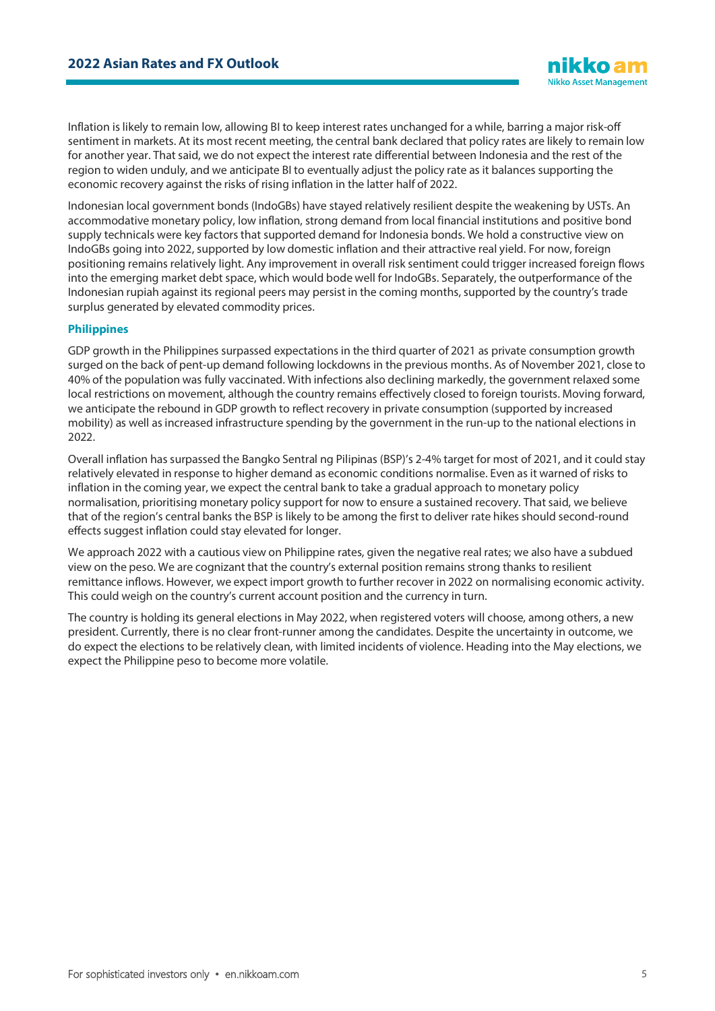Inflation is likely to remain low, allowing BI to keep interest rates unchanged for a while, barring a major risk-off sentiment in markets. At its most recent meeting, the central bank declared that policy rates are likely to remain low for another year. That said, we do not expect the interest rate differential between Indonesia and the rest of the region to widen unduly, and we anticipate BI to eventually adjust the policy rate as it balances supporting the economic recovery against the risks of rising inflation in the latter half of 2022.

Indonesian local government bonds (IndoGBs) have stayed relatively resilient despite the weakening by USTs. An accommodative monetary policy, low inflation, strong demand from local financial institutions and positive bond supply technicals were key factors that supported demand for Indonesia bonds. We hold a constructive view on IndoGBs going into 2022, supported by low domestic inflation and their attractive real yield. For now, foreign positioning remains relatively light. Any improvement in overall risk sentiment could trigger increased foreign flows into the emerging market debt space, which would bode well for IndoGBs. Separately, the outperformance of the Indonesian rupiah against its regional peers may persist in the coming months, supported by the country's trade surplus generated by elevated commodity prices.

#### **Philippines**

GDP growth in the Philippines surpassed expectations in the third quarter of 2021 as private consumption growth surged on the back of pent-up demand following lockdowns in the previous months. As of November 2021, close to 40% of the population was fully vaccinated. With infections also declining markedly, the government relaxed some local restrictions on movement, although the country remains effectively closed to foreign tourists. Moving forward, we anticipate the rebound in GDP growth to reflect recovery in private consumption (supported by increased mobility) as well as increased infrastructure spending by the government in the run-up to the national elections in 2022.

Overall inflation has surpassed the Bangko Sentral ng Pilipinas (BSP)'s 2-4% target for most of 2021, and it could stay relatively elevated in response to higher demand as economic conditions normalise. Even as it warned of risks to inflation in the coming year, we expect the central bank to take a gradual approach to monetary policy normalisation, prioritising monetary policy support for now to ensure a sustained recovery. That said, we believe that of the region's central banks the BSP is likely to be among the first to deliver rate hikes should second-round effects suggest inflation could stay elevated for longer.

We approach 2022 with a cautious view on Philippine rates, given the negative real rates; we also have a subdued view on the peso. We are cognizant that the country's external position remains strong thanks to resilient remittance inflows. However, we expect import growth to further recover in 2022 on normalising economic activity. This could weigh on the country's current account position and the currency in turn.

The country is holding its general elections in May 2022, when registered voters will choose, among others, a new president. Currently, there is no clear front-runner among the candidates. Despite the uncertainty in outcome, we do expect the elections to be relatively clean, with limited incidents of violence. Heading into the May elections, we expect the Philippine peso to become more volatile.

**Nikko Asset Management**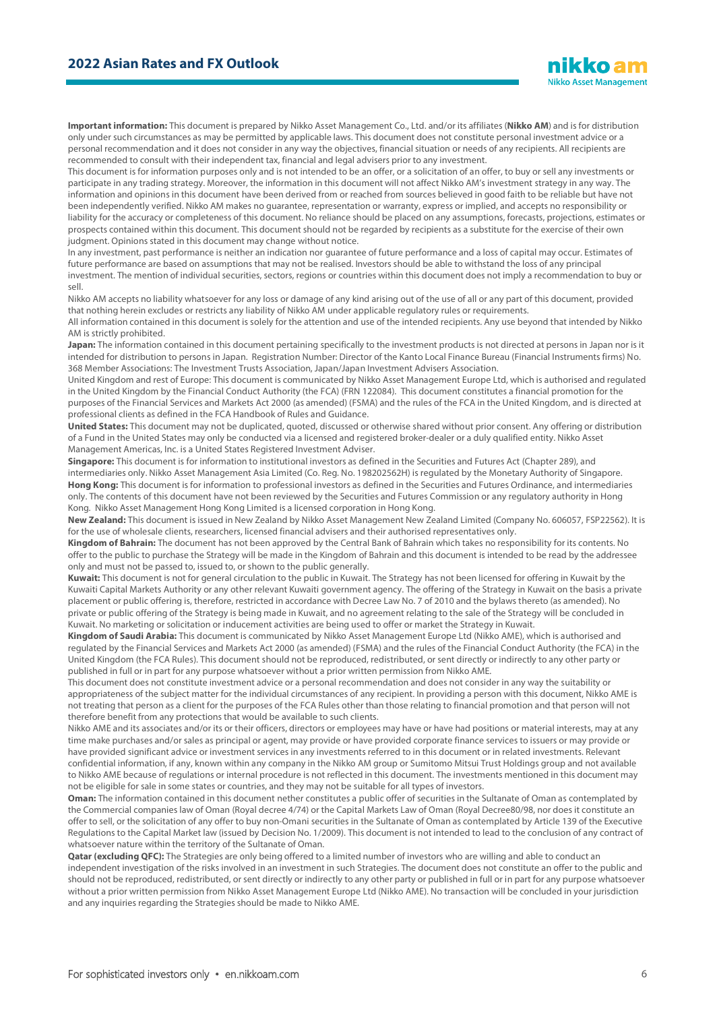

**Important information:** This document is prepared by Nikko Asset Management Co., Ltd. and/or its affiliates (**Nikko AM**) and is for distribution only under such circumstances as may be permitted by applicable laws. This document does not constitute personal investment advice or a personal recommendation and it does not consider in any way the objectives, financial situation or needs of any recipients. All recipients are recommended to consult with their independent tax, financial and legal advisers prior to any investment.

This document is for information purposes only and is not intended to be an offer, or a solicitation of an offer, to buy or sell any investments or participate in any trading strategy. Moreover, the information in this document will not affect Nikko AM's investment strategy in any way. The information and opinions in this document have been derived from or reached from sources believed in good faith to be reliable but have not been independently verified. Nikko AM makes no guarantee, representation or warranty, express or implied, and accepts no responsibility or liability for the accuracy or completeness of this document. No reliance should be placed on any assumptions, forecasts, projections, estimates or prospects contained within this document. This document should not be regarded by recipients as a substitute for the exercise of their own judgment. Opinions stated in this document may change without notice.

In any investment, past performance is neither an indication nor guarantee of future performance and a loss of capital may occur. Estimates of future performance are based on assumptions that may not be realised. Investors should be able to withstand the loss of any principal investment. The mention of individual securities, sectors, regions or countries within this document does not imply a recommendation to buy or sell.

Nikko AM accepts no liability whatsoever for any loss or damage of any kind arising out of the use of all or any part of this document, provided that nothing herein excludes or restricts any liability of Nikko AM under applicable regulatory rules or requirements.

All information contained in this document is solely for the attention and use of the intended recipients. Any use beyond that intended by Nikko AM is strictly prohibited.

**Japan:** The information contained in this document pertaining specifically to the investment products is not directed at persons in Japan nor is it intended for distribution to persons in Japan. Registration Number: Director of the Kanto Local Finance Bureau (Financial Instruments firms) No. 368 Member Associations: The Investment Trusts Association, Japan/Japan Investment Advisers Association.

United Kingdom and rest of Europe: This document is communicated by Nikko Asset Management Europe Ltd, which is authorised and regulated in the United Kingdom by the Financial Conduct Authority (the FCA) (FRN 122084). This document constitutes a financial promotion for the purposes of the Financial Services and Markets Act 2000 (as amended) (FSMA) and the rules of the FCA in the United Kingdom, and is directed at professional clients as defined in the FCA Handbook of Rules and Guidance.

**United States:** This document may not be duplicated, quoted, discussed or otherwise shared without prior consent. Any offering or distribution of a Fund in the United States may only be conducted via a licensed and registered broker-dealer or a duly qualified entity. Nikko Asset Management Americas, Inc. is a United States Registered Investment Adviser.

**Singapore:** This document is for information to institutional investors as defined in the Securities and Futures Act (Chapter 289), and intermediaries only. Nikko Asset Management Asia Limited (Co. Reg. No. 198202562H) is regulated by the Monetary Authority of Singapore. **Hong Kong:** This document is for information to professional investors as defined in the Securities and Futures Ordinance, and intermediaries only. The contents of this document have not been reviewed by the Securities and Futures Commission or any regulatory authority in Hong Kong. Nikko Asset Management Hong Kong Limited is a licensed corporation in Hong Kong.

**New Zealand:** This document is issued in New Zealand by Nikko Asset Management New Zealand Limited (Company No. 606057, FSP22562). It is for the use of wholesale clients, researchers, licensed financial advisers and their authorised representatives only.

**Kingdom of Bahrain:** The document has not been approved by the Central Bank of Bahrain which takes no responsibility for its contents. No offer to the public to purchase the Strategy will be made in the Kingdom of Bahrain and this document is intended to be read by the addressee only and must not be passed to, issued to, or shown to the public generally.

**Kuwait:** This document is not for general circulation to the public in Kuwait. The Strategy has not been licensed for offering in Kuwait by the Kuwaiti Capital Markets Authority or any other relevant Kuwaiti government agency. The offering of the Strategy in Kuwait on the basis a private placement or public offering is, therefore, restricted in accordance with Decree Law No. 7 of 2010 and the bylaws thereto (as amended). No private or public offering of the Strategy is being made in Kuwait, and no agreement relating to the sale of the Strategy will be concluded in Kuwait. No marketing or solicitation or inducement activities are being used to offer or market the Strategy in Kuwait.

**Kingdom of Saudi Arabia:** This document is communicated by Nikko Asset Management Europe Ltd (Nikko AME), which is authorised and regulated by the Financial Services and Markets Act 2000 (as amended) (FSMA) and the rules of the Financial Conduct Authority (the FCA) in the United Kingdom (the FCA Rules). This document should not be reproduced, redistributed, or sent directly or indirectly to any other party or published in full or in part for any purpose whatsoever without a prior written permission from Nikko AME.

This document does not constitute investment advice or a personal recommendation and does not consider in any way the suitability or appropriateness of the subject matter for the individual circumstances of any recipient. In providing a person with this document, Nikko AME is not treating that person as a client for the purposes of the FCA Rules other than those relating to financial promotion and that person will not therefore benefit from any protections that would be available to such clients.

Nikko AME and its associates and/or its or their officers, directors or employees may have or have had positions or material interests, may at any time make purchases and/or sales as principal or agent, may provide or have provided corporate finance services to issuers or may provide or have provided significant advice or investment services in any investments referred to in this document or in related investments. Relevant confidential information, if any, known within any company in the Nikko AM group or Sumitomo Mitsui Trust Holdings group and not available to Nikko AME because of regulations or internal procedure is not reflected in this document. The investments mentioned in this document may not be eligible for sale in some states or countries, and they may not be suitable for all types of investors.

**Oman:** The information contained in this document nether constitutes a public offer of securities in the Sultanate of Oman as contemplated by the Commercial companies law of Oman (Royal decree 4/74) or the Capital Markets Law of Oman (Royal Decree80/98, nor does it constitute an offer to sell, or the solicitation of any offer to buy non-Omani securities in the Sultanate of Oman as contemplated by Article 139 of the Executive Regulations to the Capital Market law (issued by Decision No. 1/2009). This document is not intended to lead to the conclusion of any contract of whatsoever nature within the territory of the Sultanate of Oman.

**Qatar (excluding QFC):** The Strategies are only being offered to a limited number of investors who are willing and able to conduct an independent investigation of the risks involved in an investment in such Strategies. The document does not constitute an offer to the public and should not be reproduced, redistributed, or sent directly or indirectly to any other party or published in full or in part for any purpose whatsoever without a prior written permission from Nikko Asset Management Europe Ltd (Nikko AME). No transaction will be concluded in your jurisdiction and any inquiries regarding the Strategies should be made to Nikko AME.